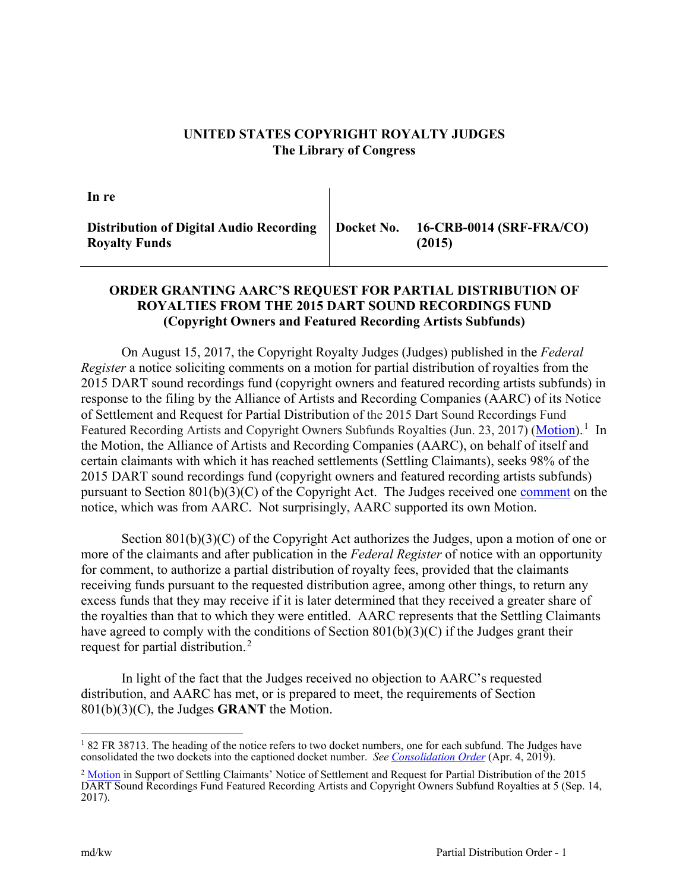## **UNITED STATES COPYRIGHT ROYALTY JUDGES The Library of Congress**

**In re**

**Distribution of Digital Audio Recording Royalty Funds Docket No. 16-CRB-0014 (SRF-FRA/CO) (2015)**

## **ORDER GRANTING AARC'S REQUEST FOR PARTIAL DISTRIBUTION OF ROYALTIES FROM THE 2015 DART SOUND RECORDINGS FUND (Copyright Owners and Featured Recording Artists Subfunds)**

On August 15, 2017, the Copyright Royalty Judges (Judges) published in the *Federal Register* a [notice](https://app.crb.gov/document/download/888) soliciting comments on a motion for partial distribution of royalties from the 2015 DART sound recordings fund (copyright owners and featured recording artists subfunds) in response to the filing by the Alliance of Artists and Recording Companies (AARC) of its Notice of Settlement and Request for Partial Distribution of the 2015 Dart Sound Recordings Fund Featured Recording Artists and Copyright Owners Subfunds Royalties (Jun. 23, 2017) [\(Motion\)](https://app.crb.gov/document/download/22931).<sup>1</sup> In the Motion, the Alliance of Artists and Recording Companies (AARC), on behalf of itself and certain claimants with which it has reached settlements (Settling Claimants), seeks 98% of the 2015 DART sound recordings fund (copyright owners and featured recording artists subfunds) pursuant to Section 801(b)(3)(C) of the Copyright Act. The Judges received one [comment](https://app.crb.gov/document/download/1404) on the notice, which was from AARC. Not surprisingly, AARC supported its own Motion.

Section 801(b)(3)(C) of the Copyright Act authorizes the Judges, upon a motion of one or more of the claimants and after publication in the *Federal Register* of notice with an opportunity for comment, to authorize a partial distribution of royalty fees, provided that the claimants receiving funds pursuant to the requested distribution agree, among other things, to return any excess funds that they may receive if it is later determined that they received a greater share of the royalties than that to which they were entitled. AARC represents that the Settling Claimants have agreed to comply with the conditions of Section  $801(b)(3)(C)$  if the Judges grant their request for partial distribution.<sup>2</sup>

In light of the fact that the Judges received no objection to AARC's requested distribution, and AARC has met, or is prepared to meet, the requirements of Section 801(b)(3)(C), the Judges **GRANT** the Motion.

<sup>&</sup>lt;sup>1</sup> 82 FR 38713. The heading of the notice refers to two docket numbers, one for each subfund. The Judges have consolidated the two dockets into the captioned docket number. *See [Consolidation Order](https://app.crb.gov/document/download/3867)* (Apr. 4, 2019).

<sup>&</sup>lt;sup>2</sup> [Motion](https://app.crb.gov/document/download/1404) in Support of Settling Claimants' Notice of Settlement and Request for Partial Distribution of the 2015 DART Sound Recordings Fund Featured Recording Artists and Copyright Owners Subfund Royalties at 5 (Sep. 14, 2017).